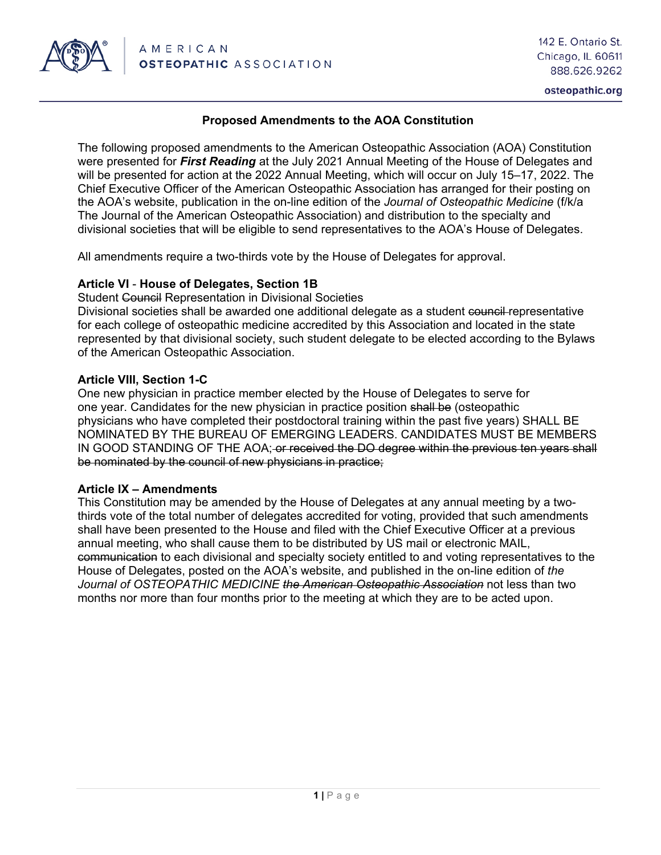

# **Proposed Amendments to the AOA Constitution**

The following proposed amendments to the American Osteopathic Association (AOA) Constitution were presented for *First Reading* at the July 2021 Annual Meeting of the House of Delegates and will be presented for action at the 2022 Annual Meeting, which will occur on July 15–17, 2022. The Chief Executive Officer of the American Osteopathic Association has arranged for their posting on the AOA's website, publication in the on-line edition of the *Journal of Osteopathic Medicine* (f/k/a The Journal of the American Osteopathic Association) and distribution to the specialty and divisional societies that will be eligible to send representatives to the AOA's House of Delegates.

All amendments require a two-thirds vote by the House of Delegates for approval.

### **Article VI** - **House of Delegates, Section 1B**

Student Council Representation in Divisional Societies

Divisional societies shall be awarded one additional delegate as a student council representative for each college of osteopathic medicine accredited by this Association and located in the state represented by that divisional society, such student delegate to be elected according to the Bylaws of the American Osteopathic Association.

### **Article VIII, Section 1-C**

One new physician in practice member elected by the House of Delegates to serve for one year. Candidates for the new physician in practice position shall be (osteopathic physicians who have completed their postdoctoral training within the past five years) SHALL BE NOMINATED BY THE BUREAU OF EMERGING LEADERS. CANDIDATES MUST BE MEMBERS IN GOOD STANDING OF THE AOA; or received the DO degree within the previous ten years shall be nominated by the council of new physicians in practice;

### **Article IX – Amendments**

This Constitution may be amended by the House of Delegates at any annual meeting by a twothirds vote of the total number of delegates accredited for voting, provided that such amendments shall have been presented to the House and filed with the Chief Executive Officer at a previous annual meeting, who shall cause them to be distributed by US mail or electronic MAIL, communication to each divisional and specialty society entitled to and voting representatives to the House of Delegates, posted on the AOA's website, and published in the on-line edition of *the Journal of OSTEOPATHIC MEDICINE the American Osteopathic Association* not less than two months nor more than four months prior to the meeting at which they are to be acted upon.